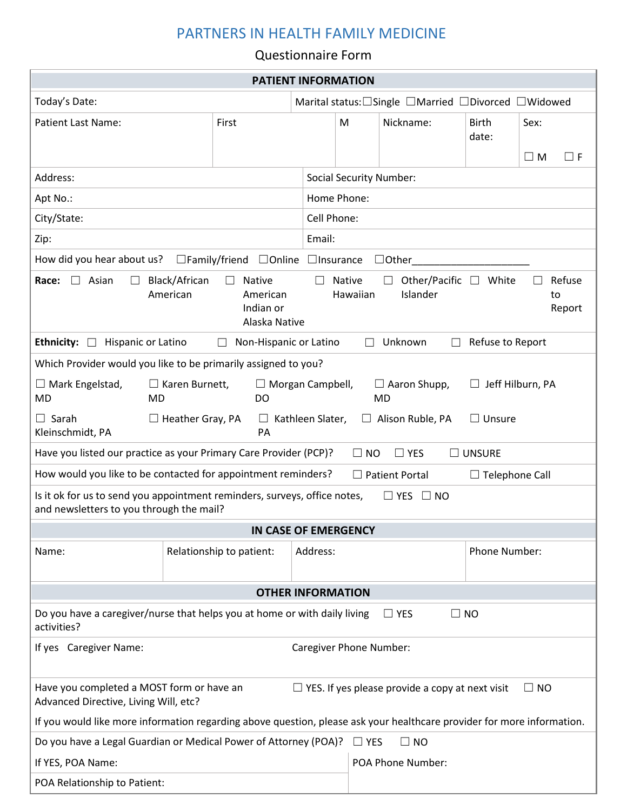## PARTNERS IN HEALTH FAMILY MEDICINE

## Questionnaire Form

| <b>PATIENT INFORMATION</b>                                                                                                                                                                                                       |                                   |             |                                                    |              |                       |                                 |
|----------------------------------------------------------------------------------------------------------------------------------------------------------------------------------------------------------------------------------|-----------------------------------|-------------|----------------------------------------------------|--------------|-----------------------|---------------------------------|
| Today's Date:                                                                                                                                                                                                                    |                                   |             | Marital status: Single □Married □Divorced □Widowed |              |                       |                                 |
| <b>Patient Last Name:</b>                                                                                                                                                                                                        | First                             | M           |                                                    | Nickname:    | <b>Birth</b><br>date: | Sex:<br>$\square$ M<br>$\Box$ F |
| Address:                                                                                                                                                                                                                         |                                   |             | <b>Social Security Number:</b>                     |              |                       |                                 |
| Apt No.:                                                                                                                                                                                                                         |                                   | Home Phone: |                                                    |              |                       |                                 |
| City/State:                                                                                                                                                                                                                      |                                   | Cell Phone: |                                                    |              |                       |                                 |
| Zip:                                                                                                                                                                                                                             | Email:                            |             |                                                    |              |                       |                                 |
| How did you hear about us?                                                                                                                                                                                                       | □Family/friend □Online □Insurance |             |                                                    | $\Box$ Other |                       |                                 |
| Black/African<br>Native<br>Other/Pacific<br>White<br>Refuse<br>Race:<br>Asian<br><b>Native</b><br>$\Box$<br>П<br>$\Box$<br>$\perp$<br>American<br>Hawaiian<br>Islander<br>American<br>to<br>Indian or<br>Report<br>Alaska Native |                                   |             |                                                    |              |                       |                                 |
| <b>Ethnicity:</b><br>Hispanic or Latino<br>Unknown<br>Refuse to Report<br>Non-Hispanic or Latino<br>$\Box$<br>$\vert \ \ \vert$<br>$\perp$                                                                                       |                                   |             |                                                    |              |                       |                                 |
| Which Provider would you like to be primarily assigned to you?                                                                                                                                                                   |                                   |             |                                                    |              |                       |                                 |
| $\Box$ Mark Engelstad,<br>$\Box$ Karen Burnett,<br>$\Box$ Morgan Campbell,<br>$\Box$ Aaron Shupp,<br>Jeff Hilburn, PA<br><b>MD</b><br>DO<br><b>MD</b><br>MD                                                                      |                                   |             |                                                    |              |                       |                                 |
| $\Box$ Sarah<br>$\Box$ Heather Gray, PA<br>Kathleen Slater,<br>Alison Ruble, PA<br>$\Box$ Unsure<br>$\Box$<br>$\Box$<br>Kleinschmidt, PA<br>PA                                                                                   |                                   |             |                                                    |              |                       |                                 |
| Have you listed our practice as your Primary Care Provider (PCP)?<br>$\Box$ NO<br>$\Box$ YES<br>$\Box$ UNSURE                                                                                                                    |                                   |             |                                                    |              |                       |                                 |
| How would you like to be contacted for appointment reminders?<br>$\Box$ Patient Portal<br>$\Box$ Telephone Call                                                                                                                  |                                   |             |                                                    |              |                       |                                 |
| Is it ok for us to send you appointment reminders, surveys, office notes,<br>$\Box$ YES $\Box$ NO<br>and newsletters to you through the mail?                                                                                    |                                   |             |                                                    |              |                       |                                 |
| IN CASE OF EMERGENCY                                                                                                                                                                                                             |                                   |             |                                                    |              |                       |                                 |
| Name:                                                                                                                                                                                                                            | Relationship to patient:          |             | Address:                                           |              | Phone Number:         |                                 |
| <b>OTHER INFORMATION</b>                                                                                                                                                                                                         |                                   |             |                                                    |              |                       |                                 |
| Do you have a caregiver/nurse that helps you at home or with daily living<br>$\Box$ YES<br>$\Box$ No<br>activities?                                                                                                              |                                   |             |                                                    |              |                       |                                 |
| Caregiver Phone Number:<br>If yes Caregiver Name:                                                                                                                                                                                |                                   |             |                                                    |              |                       |                                 |
| Have you completed a MOST form or have an<br>$\Box$ YES. If yes please provide a copy at next visit<br>$\Box$ NO<br>Advanced Directive, Living Will, etc?                                                                        |                                   |             |                                                    |              |                       |                                 |
| If you would like more information regarding above question, please ask your healthcare provider for more information.                                                                                                           |                                   |             |                                                    |              |                       |                                 |
| Do you have a Legal Guardian or Medical Power of Attorney (POA)?<br>$\Box$ NO<br>$\Box$ YES                                                                                                                                      |                                   |             |                                                    |              |                       |                                 |
| If YES, POA Name:                                                                                                                                                                                                                |                                   |             | POA Phone Number:                                  |              |                       |                                 |
| POA Relationship to Patient:                                                                                                                                                                                                     |                                   |             |                                                    |              |                       |                                 |